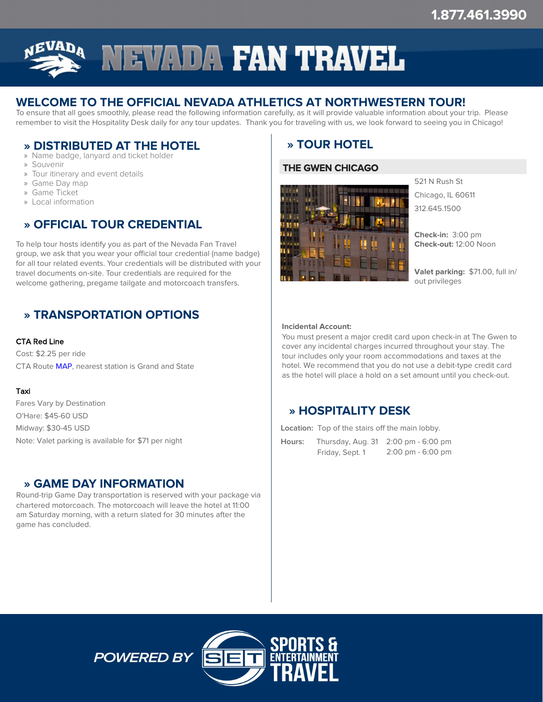

# **WELCOME TO THE OFFICIAL NEVADA ATHLETICS AT NORTHWESTERN TOUR!**

To ensure that all goes smoothly, please read the following information carefully, as it will provide valuable information about your trip. Please remember to visit the Hospitality Desk daily for any tour updates. Thank you for traveling with us, we look forward to seeing you in Chicago!

## » **» DISTRIBUTED AT THE HOTEL**

- » Name badge, lanyard and ticket holder
- » Souvenir
- » Tour itinerary and event details
- » Game Day map
- » Game Ticket
- » Local information

# » **» OFFICIAL TOUR CREDENTIAL**

To help tour hosts identify you as part of the Nevada Fan Travel group, we ask that you wear your official tour credential (name badge) for all tour related events. Your credentials will be distributed with your travel documents on-site. Tour credentials are required for the welcome gathering, pregame tailgate and motorcoach transfers.

# » **» TRANSPORTATION OPTIONS**

#### CTA Red Line

Cost: \$2.25 per ride CTA Route [MAP](http://www.transitchicago.com/maps/), nearest station is Grand and State

#### Taxi

Fares Vary by Destination O'Hare: \$45-60 USD Midway: \$30-45 USD Note: Valet parking is available for \$71 per night

## » **» GAME DAY INFORMATION**

Round-trip Game Day transportation is reserved with your package via chartered motorcoach. The motorcoach will leave the hotel at 11:00 am Saturday morning, with a return slated for 30 minutes after the game has concluded.

# » **» TOUR HOTEL**

### **THE GWEN CHICAGO**



521 N Rush St Chicago, IL 60611 312.645.1500

**Check-in:** 3:00 pm **Check-out:** 12:00 Noon

**Valet parking:** \$71.00, full in/ out privileges

#### **Incidental Account:**

You must present a major credit card upon check-in at The Gwen to cover any incidental charges incurred throughout your stay. The tour includes only your room accommodations and taxes at the hotel. We recommend that you do not use a debit-type credit card as the hotel will place a hold on a set amount until you check-out.

# » **» HOSPITALITY DESK**

**Location:** Top of the stairs off the main lobby.

**Hours:** Thursday, Aug. 31 2:00 pm - 6:00 pm Friday, Sept. 1 2:00 pm - 6:00 pm